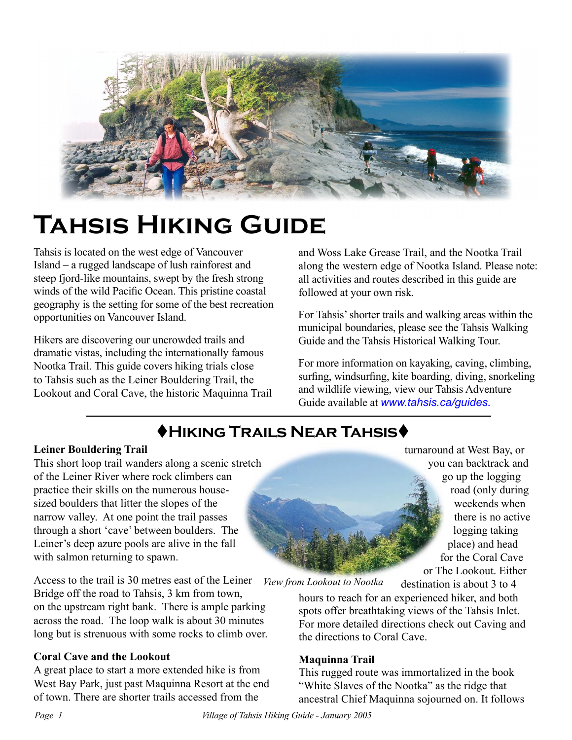

# **Tahsis Hiking Guide**

Tahsis is located on the west edge of Vancouver Island – a rugged landscape of lush rainforest and steep fjord-like mountains, swept by the fresh strong winds of the wild Pacific Ocean. This pristine coastal geography is the setting for some of the best recreation opportunities on Vancouver Island.

Hikers are discovering our uncrowded trails and dramatic vistas, including the internationally famous Nootka Trail. This guide covers hiking trials close to Tahsis such as the Leiner Bouldering Trail, the Lookout and Coral Cave, the historic Maquinna Trail

and Woss Lake Grease Trail, and the Nootka Trail along the western edge of Nootka Island. Please note: all activities and routes described in this guide are followed at your own risk.

For Tahsis' shorter trails and walking areas within the municipal boundaries, please see the Tahsis Walking Guide and the Tahsis Historical Walking Tour.

For more information on kayaking, caving, climbing, surfing, windsurfing, kite boarding, diving, snorkeling and wildlife viewing, view our Tahsis Adventure Guide available at *[www.tahsis.ca/guides](http://www.tahsis.ca/guides).*

# t**Hiking Trails Near Tahsis**t

## **Leiner Bouldering Trail**

This short loop trail wanders along a scenic stretch of the Leiner River where rock climbers can practice their skills on the numerous housesized boulders that litter the slopes of the narrow valley. At one point the trail passes through a short 'cave' between boulders. The Leiner's deep azure pools are alive in the fall with salmon returning to spawn.

Access to the trail is 30 metres east of the Leiner Bridge off the road to Tahsis, 3 km from town, on the upstream right bank. There is ample parking across the road. The loop walk is about 30 minutes long but is strenuous with some rocks to climb over.

## **Coral Cave and the Lookout**

A great place to start a more extended hike is from West Bay Park, just past Maquinna Resort at the end of town. There are shorter trails accessed from the

turnaround at West Bay, or you can backtrack and go up the logging road (only during weekends when there is no active logging taking place) and head for the Coral Cave or The Lookout. Either

destination is about 3 to 4

*View from Lookout to Nootka*

hours to reach for an experienced hiker, and both spots offer breathtaking views of the Tahsis Inlet. For more detailed directions check out Caving and the directions to Coral Cave.

## **Maquinna Trail**

This rugged route was immortalized in the book "White Slaves of the Nootka" as the ridge that ancestral Chief Maquinna sojourned on. It follows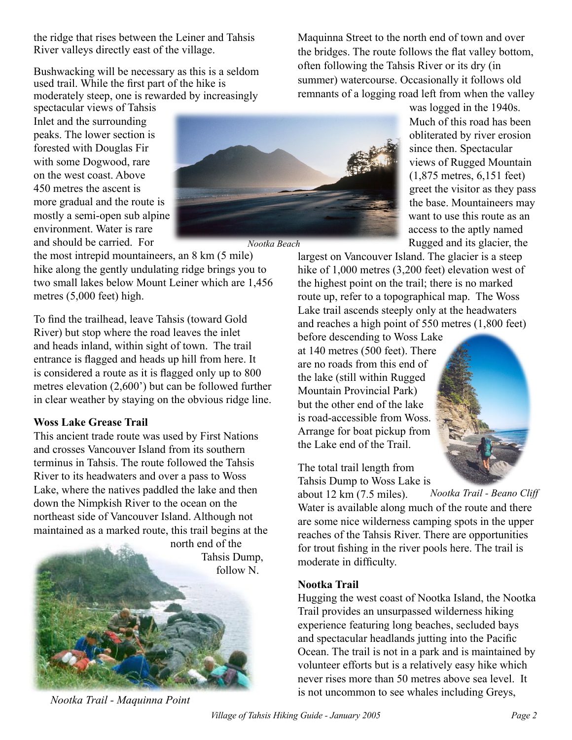the ridge that rises between the Leiner and Tahsis River valleys directly east of the village.

Bushwacking will be necessary as this is a seldom used trail. While the first part of the hike is moderately steep, one is rewarded by increasingly

spectacular views of Tahsis Inlet and the surrounding peaks. The lower section is forested with Douglas Fir with some Dogwood, rare on the west coast. Above 450 metres the ascent is more gradual and the route is mostly a semi-open sub alpine environment. Water is rare and should be carried. For



the most intrepid mountaineers, an 8 km (5 mile) hike along the gently undulating ridge brings you to two small lakes below Mount Leiner which are 1,456 metres (5,000 feet) high.

To find the trailhead, leave Tahsis (toward Gold River) but stop where the road leaves the inlet and heads inland, within sight of town. The trail entrance is flagged and heads up hill from here. It is considered a route as it is flagged only up to 800 metres elevation (2,600') but can be followed further in clear weather by staying on the obvious ridge line.

#### **Woss Lake Grease Trail**

This ancient trade route was used by First Nations and crosses Vancouver Island from its southern terminus in Tahsis. The route followed the Tahsis River to its headwaters and over a pass to Woss Lake, where the natives paddled the lake and then down the Nimpkish River to the ocean on the northeast side of Vancouver Island. Although not maintained as a marked route, this trail begins at the



*Nootka Trail - Maquinna Point*

Maquinna Street to the north end of town and over the bridges. The route follows the flat valley bottom, often following the Tahsis River or its dry (in summer) watercourse. Occasionally it follows old remnants of a logging road left from when the valley

> was logged in the 1940s. Much of this road has been obliterated by river erosion since then. Spectacular views of Rugged Mountain (1,875 metres, 6,151 feet) greet the visitor as they pass the base. Mountaineers may want to use this route as an access to the aptly named Rugged and its glacier, the

largest on Vancouver Island. The glacier is a steep hike of 1,000 metres (3,200 feet) elevation west of the highest point on the trail; there is no marked route up, refer to a topographical map. The Woss Lake trail ascends steeply only at the headwaters and reaches a high point of 550 metres (1,800 feet)

before descending to Woss Lake at 140 metres (500 feet). There are no roads from this end of the lake (still within Rugged Mountain Provincial Park) but the other end of the lake is road-accessible from Woss. Arrange for boat pickup from the Lake end of the Trail.

The total trail length from Tahsis Dump to Woss Lake is

*Nootka Trail - Beano Cliff* about 12 km (7.5 miles). Water is available along much of the route and there are some nice wilderness camping spots in the upper reaches of the Tahsis River. There are opportunities for trout fishing in the river pools here. The trail is moderate in difficulty.

#### **Nootka Trail**

Hugging the west coast of Nootka Island, the Nootka Trail provides an unsurpassed wilderness hiking experience featuring long beaches, secluded bays and spectacular headlands jutting into the Pacific Ocean. The trail is not in a park and is maintained by volunteer efforts but is a relatively easy hike which never rises more than 50 metres above sea level. It is not uncommon to see whales including Greys,